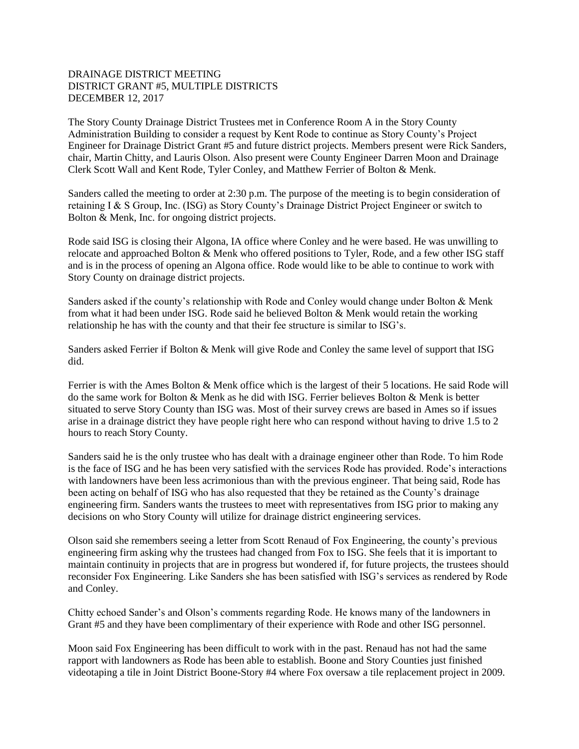## DRAINAGE DISTRICT MEETING DISTRICT GRANT #5, MULTIPLE DISTRICTS DECEMBER 12, 2017

The Story County Drainage District Trustees met in Conference Room A in the Story County Administration Building to consider a request by Kent Rode to continue as Story County's Project Engineer for Drainage District Grant #5 and future district projects. Members present were Rick Sanders, chair, Martin Chitty, and Lauris Olson. Also present were County Engineer Darren Moon and Drainage Clerk Scott Wall and Kent Rode, Tyler Conley, and Matthew Ferrier of Bolton & Menk.

Sanders called the meeting to order at 2:30 p.m. The purpose of the meeting is to begin consideration of retaining I & S Group, Inc. (ISG) as Story County's Drainage District Project Engineer or switch to Bolton & Menk, Inc. for ongoing district projects.

Rode said ISG is closing their Algona, IA office where Conley and he were based. He was unwilling to relocate and approached Bolton & Menk who offered positions to Tyler, Rode, and a few other ISG staff and is in the process of opening an Algona office. Rode would like to be able to continue to work with Story County on drainage district projects.

Sanders asked if the county's relationship with Rode and Conley would change under Bolton & Menk from what it had been under ISG. Rode said he believed Bolton & Menk would retain the working relationship he has with the county and that their fee structure is similar to ISG's.

Sanders asked Ferrier if Bolton & Menk will give Rode and Conley the same level of support that ISG did.

Ferrier is with the Ames Bolton & Menk office which is the largest of their 5 locations. He said Rode will do the same work for Bolton & Menk as he did with ISG. Ferrier believes Bolton & Menk is better situated to serve Story County than ISG was. Most of their survey crews are based in Ames so if issues arise in a drainage district they have people right here who can respond without having to drive 1.5 to 2 hours to reach Story County.

Sanders said he is the only trustee who has dealt with a drainage engineer other than Rode. To him Rode is the face of ISG and he has been very satisfied with the services Rode has provided. Rode's interactions with landowners have been less acrimonious than with the previous engineer. That being said, Rode has been acting on behalf of ISG who has also requested that they be retained as the County's drainage engineering firm. Sanders wants the trustees to meet with representatives from ISG prior to making any decisions on who Story County will utilize for drainage district engineering services.

Olson said she remembers seeing a letter from Scott Renaud of Fox Engineering, the county's previous engineering firm asking why the trustees had changed from Fox to ISG. She feels that it is important to maintain continuity in projects that are in progress but wondered if, for future projects, the trustees should reconsider Fox Engineering. Like Sanders she has been satisfied with ISG's services as rendered by Rode and Conley.

Chitty echoed Sander's and Olson's comments regarding Rode. He knows many of the landowners in Grant #5 and they have been complimentary of their experience with Rode and other ISG personnel.

Moon said Fox Engineering has been difficult to work with in the past. Renaud has not had the same rapport with landowners as Rode has been able to establish. Boone and Story Counties just finished videotaping a tile in Joint District Boone-Story #4 where Fox oversaw a tile replacement project in 2009.